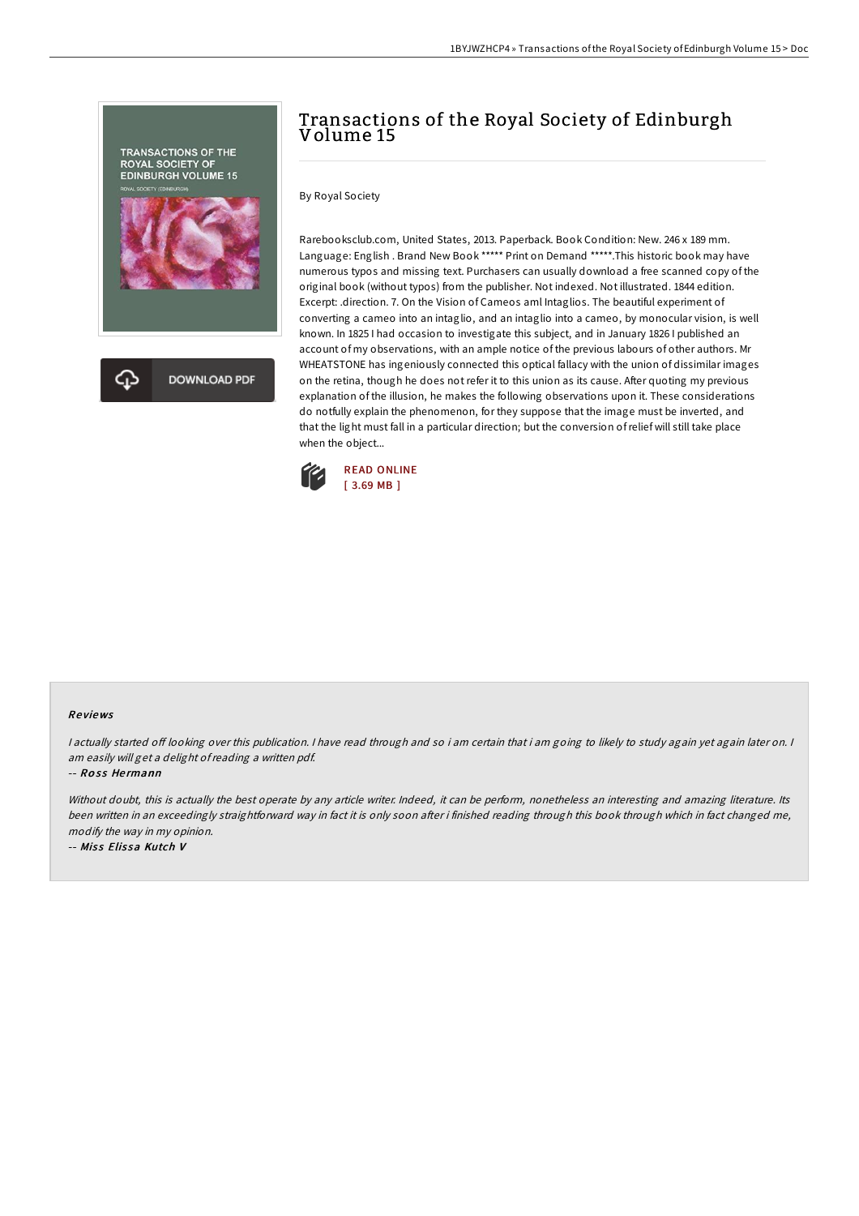

# Transactions of the Royal Society of Edinburgh Volume 15

By Royal Society

Rarebooksclub.com, United States, 2013. Paperback. Book Condition: New. 246 x 189 mm. Language: English . Brand New Book \*\*\*\*\* Print on Demand \*\*\*\*\*. This historic book may have numerous typos and missing text. Purchasers can usually download a free scanned copy of the original book (without typos) from the publisher. Not indexed. Not illustrated. 1844 edition. Excerpt: .direction. 7. On the Vision of Cameos aml Intaglios. The beautiful experiment of converting a cameo into an intaglio, and an intaglio into a cameo, by monocular vision, is well known. In 1825 I had occasion to investigate this subject, and in January 1826 I published an account of my observations, with an ample notice of the previous labours of other authors. Mr WHEATSTONE has ingeniously connected this optical fallacy with the union of dissimilar images on the retina, though he does not refer it to this union as its cause. After quoting my previous explanation of the illusion, he makes the following observations upon it. These considerations do notfully explain the phenomenon, for they suppose that the image must be inverted, and that the light must fall in a particular direction; but the conversion ofrelief will still take place when the object...



#### Re views

I actually started off looking over this publication. I have read through and so i am certain that i am going to likely to study again yet again later on. I am easily will get <sup>a</sup> delight ofreading <sup>a</sup> written pdf.

-- Ross Hermann

Without doubt, this is actually the best operate by any article writer. Indeed, it can be perform, nonetheless an interesting and amazing literature. Its been written in an exceedingly straightforward way in fact it is only soon after i finished reading through this book through which in fact changed me, modify the way in my opinion.

-- Miss Elissa Kutch V